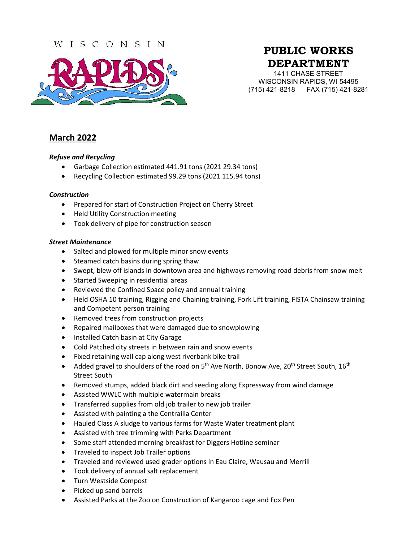### WISCONSIN



# **PUBLIC WORKS DEPARTMENT**

1411 CHASE STREET WISCONSIN RAPIDS, WI 54495 (715) 421-8218 FAX (715) 421-8281

## **March 2022**

#### *Refuse and Recycling*

- Garbage Collection estimated 441.91 tons (2021 29.34 tons)
- Recycling Collection estimated 99.29 tons (2021 115.94 tons)

#### *Construction*

- Prepared for start of Construction Project on Cherry Street
- Held Utility Construction meeting
- Took delivery of pipe for construction season

#### *Street Maintenance*

- Salted and plowed for multiple minor snow events
- Steamed catch basins during spring thaw
- Swept, blew off islands in downtown area and highways removing road debris from snow melt
- Started Sweeping in residential areas
- Reviewed the Confined Space policy and annual training
- Held OSHA 10 training, Rigging and Chaining training, Fork Lift training, FISTA Chainsaw training and Competent person training
- Removed trees from construction projects
- Repaired mailboxes that were damaged due to snowplowing
- Installed Catch basin at City Garage
- Cold Patched city streets in between rain and snow events
- Fixed retaining wall cap along west riverbank bike trail
- Added gravel to shoulders of the road on  $5<sup>th</sup>$  Ave North, Bonow Ave, 20<sup>th</sup> Street South, 16<sup>th</sup> Street South
- Removed stumps, added black dirt and seeding along Expressway from wind damage
- Assisted WWLC with multiple watermain breaks
- Transferred supplies from old job trailer to new job trailer
- Assisted with painting a the Centrailia Center
- Hauled Class A sludge to various farms for Waste Water treatment plant
- Assisted with tree trimming with Parks Department
- Some staff attended morning breakfast for Diggers Hotline seminar
- Traveled to inspect Job Trailer options
- Traveled and reviewed used grader options in Eau Claire, Wausau and Merrill
- Took delivery of annual salt replacement
- Turn Westside Compost
- Picked up sand barrels
- Assisted Parks at the Zoo on Construction of Kangaroo cage and Fox Pen